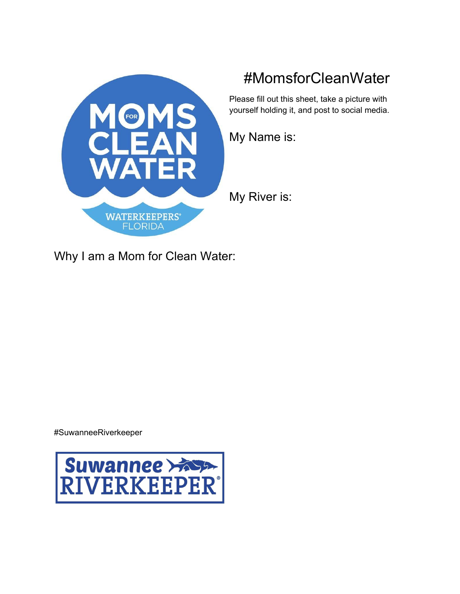

# #MomsforCleanWater

Please fill out this sheet, take a picture with yourself holding it, and post to social media.

My Name is:

My River is:

Why I am a Mom for Clean Water:

#SuwanneeRiverkeeper